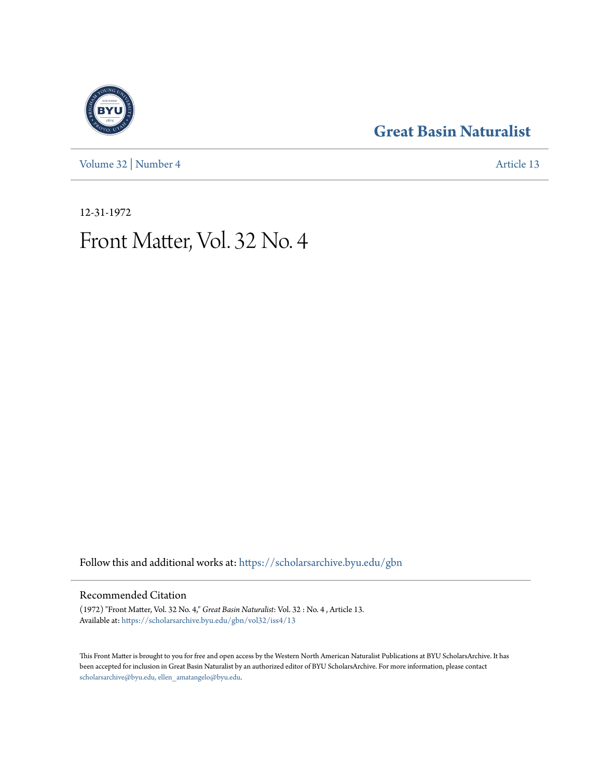[Volume 32](https://scholarsarchive.byu.edu/gbn/vol32?utm_source=scholarsarchive.byu.edu%2Fgbn%2Fvol32%2Fiss4%2F13&utm_medium=PDF&utm_campaign=PDFCoverPages) | [Number 4](https://scholarsarchive.byu.edu/gbn/vol32/iss4?utm_source=scholarsarchive.byu.edu%2Fgbn%2Fvol32%2Fiss4%2F13&utm_medium=PDF&utm_campaign=PDFCoverPages) [Article 13](https://scholarsarchive.byu.edu/gbn/vol32/iss4/13?utm_source=scholarsarchive.byu.edu%2Fgbn%2Fvol32%2Fiss4%2F13&utm_medium=PDF&utm_campaign=PDFCoverPages)

### **[Great Basin Naturalist](https://scholarsarchive.byu.edu/gbn?utm_source=scholarsarchive.byu.edu%2Fgbn%2Fvol32%2Fiss4%2F13&utm_medium=PDF&utm_campaign=PDFCoverPages)**

12-31-1972

## Front Matter, Vol. 32 No. 4

Follow this and additional works at: [https://scholarsarchive.byu.edu/gbn](https://scholarsarchive.byu.edu/gbn?utm_source=scholarsarchive.byu.edu%2Fgbn%2Fvol32%2Fiss4%2F13&utm_medium=PDF&utm_campaign=PDFCoverPages)

#### Recommended Citation

(1972) "Front Matter, Vol. 32 No. 4," *Great Basin Naturalist*: Vol. 32 : No. 4 , Article 13. Available at: [https://scholarsarchive.byu.edu/gbn/vol32/iss4/13](https://scholarsarchive.byu.edu/gbn/vol32/iss4/13?utm_source=scholarsarchive.byu.edu%2Fgbn%2Fvol32%2Fiss4%2F13&utm_medium=PDF&utm_campaign=PDFCoverPages)

This Front Matter is brought to you for free and open access by the Western North American Naturalist Publications at BYU ScholarsArchive. It has been accepted for inclusion in Great Basin Naturalist by an authorized editor of BYU ScholarsArchive. For more information, please contact [scholarsarchive@byu.edu, ellen\\_amatangelo@byu.edu.](mailto:scholarsarchive@byu.edu,%20ellen_amatangelo@byu.edu)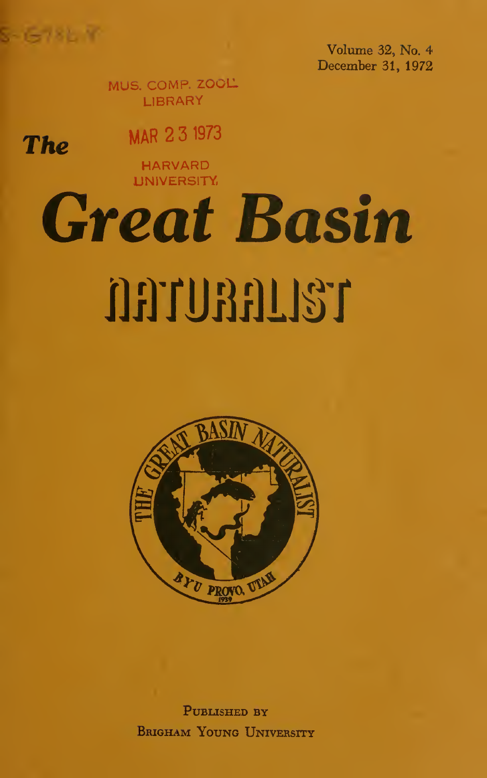$S - 5 - 781 - 97$ 

**The** 

Volume 32, No. 4 December 31, 1972

MUS. COMP. ZOOL LIBRARY

MAR 2 3 <sup>1973</sup>

HARVARD **UNIVERSITY** 

# Great Basin **NATURALIST**



PUBLISHED BY Brigham Young University